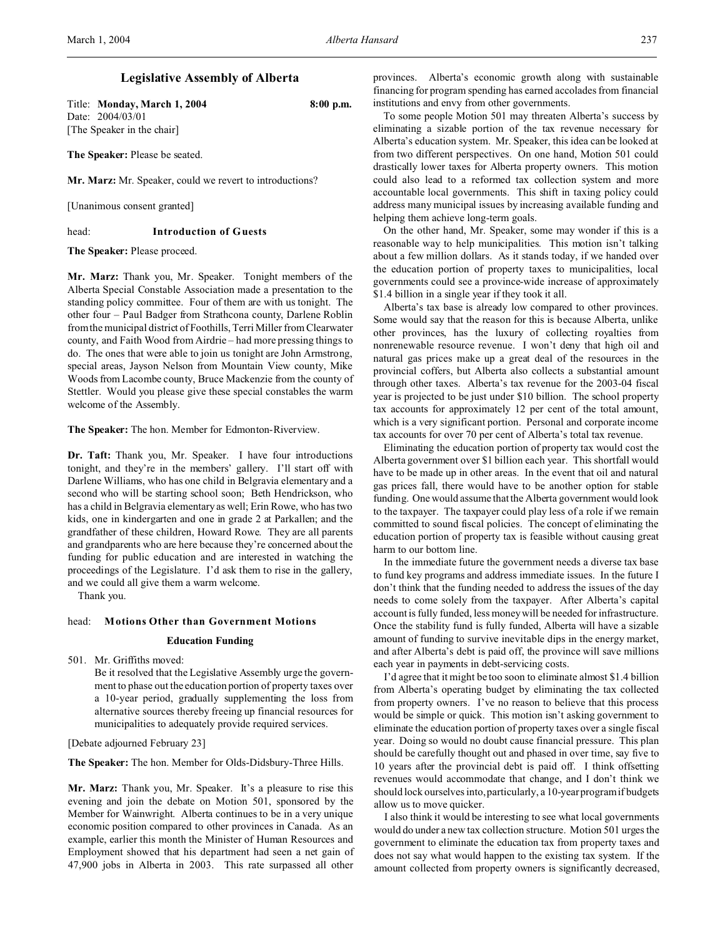# **Legislative Assembly of Alberta**

Title: **Monday, March 1, 2004 8:00 p.m.** Date: 2004/03/01 [The Speaker in the chair]

**The Speaker:** Please be seated.

**Mr. Marz:** Mr. Speaker, could we revert to introductions?

[Unanimous consent granted]

head: **Introduction of Guests**

**The Speaker:** Please proceed.

**Mr. Marz:** Thank you, Mr. Speaker. Tonight members of the Alberta Special Constable Association made a presentation to the standing policy committee. Four of them are with us tonight. The other four – Paul Badger from Strathcona county, Darlene Roblin from the municipal district of Foothills, Terri Miller from Clearwater county, and Faith Wood from Airdrie – had more pressing things to do. The ones that were able to join us tonight are John Armstrong, special areas, Jayson Nelson from Mountain View county, Mike Woods from Lacombe county, Bruce Mackenzie from the county of Stettler. Would you please give these special constables the warm welcome of the Assembly.

**The Speaker:** The hon. Member for Edmonton-Riverview.

**Dr. Taft:** Thank you, Mr. Speaker. I have four introductions tonight, and they're in the members' gallery. I'll start off with Darlene Williams, who has one child in Belgravia elementary and a second who will be starting school soon; Beth Hendrickson, who has a child in Belgravia elementary as well; Erin Rowe, who has two kids, one in kindergarten and one in grade 2 at Parkallen; and the grandfather of these children, Howard Rowe. They are all parents and grandparents who are here because they're concerned about the funding for public education and are interested in watching the proceedings of the Legislature. I'd ask them to rise in the gallery, and we could all give them a warm welcome.

Thank you.

## head: **Motions Other than Government Motions**

# **Education Funding**

501. Mr. Griffiths moved:

Be it resolved that the Legislative Assembly urge the government to phase out the education portion of property taxes over a 10-year period, gradually supplementing the loss from alternative sources thereby freeing up financial resources for municipalities to adequately provide required services.

[Debate adjourned February 23]

**The Speaker:** The hon. Member for Olds-Didsbury-Three Hills.

**Mr. Marz:** Thank you, Mr. Speaker. It's a pleasure to rise this evening and join the debate on Motion 501, sponsored by the Member for Wainwright. Alberta continues to be in a very unique economic position compared to other provinces in Canada. As an example, earlier this month the Minister of Human Resources and Employment showed that his department had seen a net gain of 47,900 jobs in Alberta in 2003. This rate surpassed all other

provinces. Alberta's economic growth along with sustainable financing for program spending has earned accolades from financial institutions and envy from other governments.

To some people Motion 501 may threaten Alberta's success by eliminating a sizable portion of the tax revenue necessary for Alberta's education system. Mr. Speaker, this idea can be looked at from two different perspectives. On one hand, Motion 501 could drastically lower taxes for Alberta property owners. This motion could also lead to a reformed tax collection system and more accountable local governments. This shift in taxing policy could address many municipal issues by increasing available funding and helping them achieve long-term goals.

On the other hand, Mr. Speaker, some may wonder if this is a reasonable way to help municipalities. This motion isn't talking about a few million dollars. As it stands today, if we handed over the education portion of property taxes to municipalities, local governments could see a province-wide increase of approximately \$1.4 billion in a single year if they took it all.

Alberta's tax base is already low compared to other provinces. Some would say that the reason for this is because Alberta, unlike other provinces, has the luxury of collecting royalties from nonrenewable resource revenue. I won't deny that high oil and natural gas prices make up a great deal of the resources in the provincial coffers, but Alberta also collects a substantial amount through other taxes. Alberta's tax revenue for the 2003-04 fiscal year is projected to be just under \$10 billion. The school property tax accounts for approximately 12 per cent of the total amount, which is a very significant portion. Personal and corporate income tax accounts for over 70 per cent of Alberta's total tax revenue.

Eliminating the education portion of property tax would cost the Alberta government over \$1 billion each year. This shortfall would have to be made up in other areas. In the event that oil and natural gas prices fall, there would have to be another option for stable funding. One would assume that the Alberta government would look to the taxpayer. The taxpayer could play less of a role if we remain committed to sound fiscal policies. The concept of eliminating the education portion of property tax is feasible without causing great harm to our bottom line.

In the immediate future the government needs a diverse tax base to fund key programs and address immediate issues. In the future I don't think that the funding needed to address the issues of the day needs to come solely from the taxpayer. After Alberta's capital account is fully funded, less money will be needed for infrastructure. Once the stability fund is fully funded, Alberta will have a sizable amount of funding to survive inevitable dips in the energy market, and after Alberta's debt is paid off, the province will save millions each year in payments in debt-servicing costs.

I'd agree that it might be too soon to eliminate almost \$1.4 billion from Alberta's operating budget by eliminating the tax collected from property owners. I've no reason to believe that this process would be simple or quick. This motion isn't asking government to eliminate the education portion of property taxes over a single fiscal year. Doing so would no doubt cause financial pressure. This plan should be carefully thought out and phased in over time, say five to 10 years after the provincial debt is paid off. I think offsetting revenues would accommodate that change, and I don't think we should lock ourselves into, particularly, a 10-year program if budgets allow us to move quicker.

I also think it would be interesting to see what local governments would do under a new tax collection structure. Motion 501 urges the government to eliminate the education tax from property taxes and does not say what would happen to the existing tax system. If the amount collected from property owners is significantly decreased,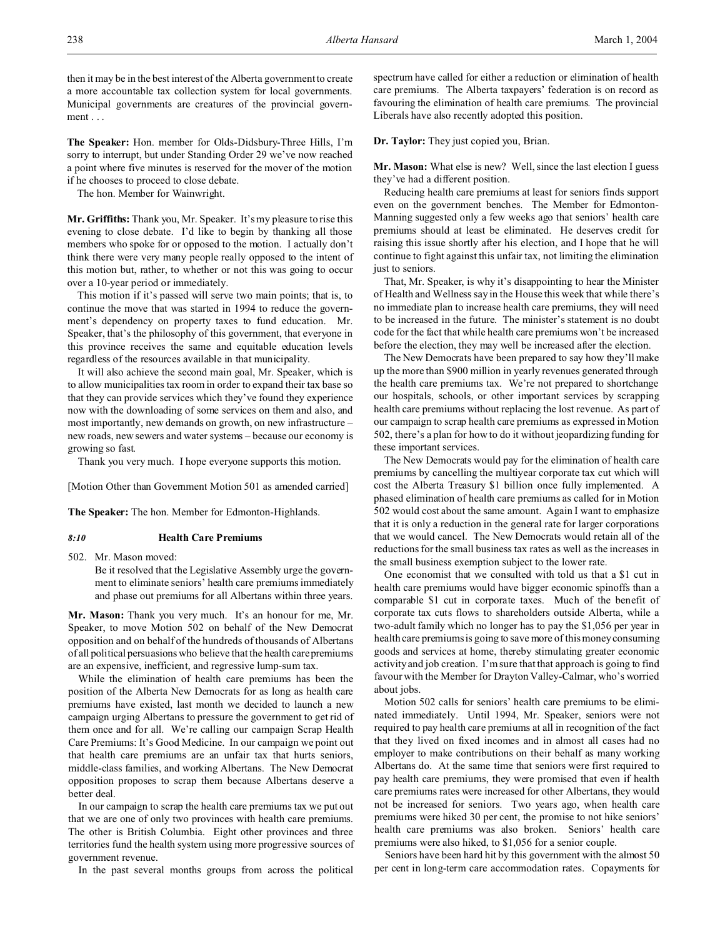then it may be in the best interest of the Alberta government to create a more accountable tax collection system for local governments. Municipal governments are creatures of the provincial government . . .

**The Speaker:** Hon. member for Olds-Didsbury-Three Hills, I'm sorry to interrupt, but under Standing Order 29 we've now reached a point where five minutes is reserved for the mover of the motion if he chooses to proceed to close debate.

The hon. Member for Wainwright.

**Mr. Griffiths:** Thank you, Mr. Speaker. It's my pleasure to rise this evening to close debate. I'd like to begin by thanking all those members who spoke for or opposed to the motion. I actually don't think there were very many people really opposed to the intent of this motion but, rather, to whether or not this was going to occur over a 10-year period or immediately.

This motion if it's passed will serve two main points; that is, to continue the move that was started in 1994 to reduce the government's dependency on property taxes to fund education. Mr. Speaker, that's the philosophy of this government, that everyone in this province receives the same and equitable education levels regardless of the resources available in that municipality.

It will also achieve the second main goal, Mr. Speaker, which is to allow municipalities tax room in order to expand their tax base so that they can provide services which they've found they experience now with the downloading of some services on them and also, and most importantly, new demands on growth, on new infrastructure – new roads, new sewers and water systems – because our economy is growing so fast.

Thank you very much. I hope everyone supports this motion.

[Motion Other than Government Motion 501 as amended carried]

**The Speaker:** The hon. Member for Edmonton-Highlands.

#### *8:10* **Health Care Premiums**

502. Mr. Mason moved:

Be it resolved that the Legislative Assembly urge the government to eliminate seniors' health care premiums immediately and phase out premiums for all Albertans within three years.

**Mr. Mason:** Thank you very much. It's an honour for me, Mr. Speaker, to move Motion 502 on behalf of the New Democrat opposition and on behalf of the hundreds of thousands of Albertans of all political persuasions who believe that the health care premiums are an expensive, inefficient, and regressive lump-sum tax.

While the elimination of health care premiums has been the position of the Alberta New Democrats for as long as health care premiums have existed, last month we decided to launch a new campaign urging Albertans to pressure the government to get rid of them once and for all. We're calling our campaign Scrap Health Care Premiums: It's Good Medicine. In our campaign we point out that health care premiums are an unfair tax that hurts seniors, middle-class families, and working Albertans. The New Democrat opposition proposes to scrap them because Albertans deserve a better deal.

In our campaign to scrap the health care premiums tax we put out that we are one of only two provinces with health care premiums. The other is British Columbia. Eight other provinces and three territories fund the health system using more progressive sources of government revenue.

In the past several months groups from across the political

spectrum have called for either a reduction or elimination of health care premiums. The Alberta taxpayers' federation is on record as favouring the elimination of health care premiums. The provincial Liberals have also recently adopted this position.

**Dr. Taylor:** They just copied you, Brian.

**Mr. Mason:** What else is new? Well, since the last election I guess they've had a different position.

Reducing health care premiums at least for seniors finds support even on the government benches. The Member for Edmonton-Manning suggested only a few weeks ago that seniors' health care premiums should at least be eliminated. He deserves credit for raising this issue shortly after his election, and I hope that he will continue to fight against this unfair tax, not limiting the elimination just to seniors.

That, Mr. Speaker, is why it's disappointing to hear the Minister of Health and Wellness say in the House this week that while there's no immediate plan to increase health care premiums, they will need to be increased in the future. The minister's statement is no doubt code for the fact that while health care premiums won't be increased before the election, they may well be increased after the election.

The New Democrats have been prepared to say how they'll make up the more than \$900 million in yearly revenues generated through the health care premiums tax. We're not prepared to shortchange our hospitals, schools, or other important services by scrapping health care premiums without replacing the lost revenue. As part of our campaign to scrap health care premiums as expressed in Motion 502, there's a plan for how to do it without jeopardizing funding for these important services.

The New Democrats would pay for the elimination of health care premiums by cancelling the multiyear corporate tax cut which will cost the Alberta Treasury \$1 billion once fully implemented. A phased elimination of health care premiums as called for in Motion 502 would cost about the same amount. Again I want to emphasize that it is only a reduction in the general rate for larger corporations that we would cancel. The New Democrats would retain all of the reductions for the small business tax rates as well as the increases in the small business exemption subject to the lower rate.

One economist that we consulted with told us that a \$1 cut in health care premiums would have bigger economic spinoffs than a comparable \$1 cut in corporate taxes. Much of the benefit of corporate tax cuts flows to shareholders outside Alberta, while a two-adult family which no longer has to pay the \$1,056 per year in health care premiums is going to save more of this money consuming goods and services at home, thereby stimulating greater economic activity and job creation. I'm sure that that approach is going to find favour with the Member for Drayton Valley-Calmar, who's worried about jobs.

Motion 502 calls for seniors' health care premiums to be eliminated immediately. Until 1994, Mr. Speaker, seniors were not required to pay health care premiums at all in recognition of the fact that they lived on fixed incomes and in almost all cases had no employer to make contributions on their behalf as many working Albertans do. At the same time that seniors were first required to pay health care premiums, they were promised that even if health care premiums rates were increased for other Albertans, they would not be increased for seniors. Two years ago, when health care premiums were hiked 30 per cent, the promise to not hike seniors' health care premiums was also broken. Seniors' health care premiums were also hiked, to \$1,056 for a senior couple.

Seniors have been hard hit by this government with the almost 50 per cent in long-term care accommodation rates. Copayments for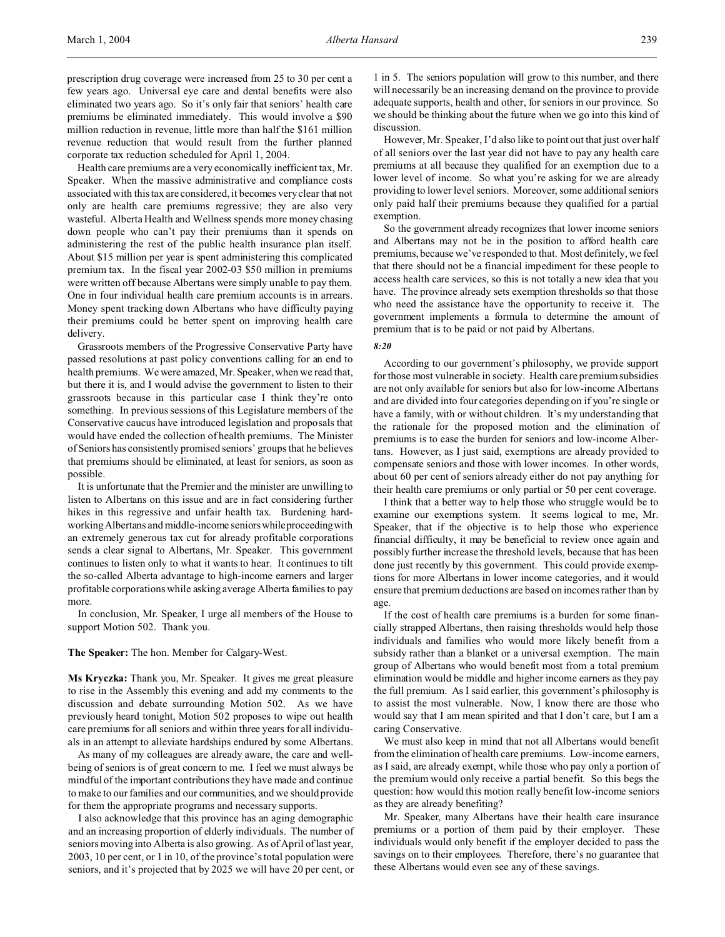prescription drug coverage were increased from 25 to 30 per cent a few years ago. Universal eye care and dental benefits were also eliminated two years ago. So it's only fair that seniors' health care premiums be eliminated immediately. This would involve a \$90 million reduction in revenue, little more than half the \$161 million revenue reduction that would result from the further planned corporate tax reduction scheduled for April 1, 2004.

Health care premiums are a very economically inefficient tax, Mr. Speaker. When the massive administrative and compliance costs associated with this tax are considered, it becomes very clear that not only are health care premiums regressive; they are also very wasteful. Alberta Health and Wellness spends more money chasing down people who can't pay their premiums than it spends on administering the rest of the public health insurance plan itself. About \$15 million per year is spent administering this complicated premium tax. In the fiscal year 2002-03 \$50 million in premiums were written off because Albertans were simply unable to pay them. One in four individual health care premium accounts is in arrears. Money spent tracking down Albertans who have difficulty paying their premiums could be better spent on improving health care delivery.

Grassroots members of the Progressive Conservative Party have passed resolutions at past policy conventions calling for an end to health premiums. We were amazed, Mr. Speaker, when we read that, but there it is, and I would advise the government to listen to their grassroots because in this particular case I think they're onto something. In previous sessions of this Legislature members of the Conservative caucus have introduced legislation and proposals that would have ended the collection of health premiums. The Minister of Seniors has consistently promised seniors' groups that he believes that premiums should be eliminated, at least for seniors, as soon as possible.

It is unfortunate that the Premier and the minister are unwilling to listen to Albertans on this issue and are in fact considering further hikes in this regressive and unfair health tax. Burdening hardworking Albertans and middle-income seniorswhileproceedingwith an extremely generous tax cut for already profitable corporations sends a clear signal to Albertans, Mr. Speaker. This government continues to listen only to what it wants to hear. It continues to tilt the so-called Alberta advantage to high-income earners and larger profitable corporations while asking average Alberta families to pay more.

In conclusion, Mr. Speaker, I urge all members of the House to support Motion 502. Thank you.

#### **The Speaker:** The hon. Member for Calgary-West.

**Ms Kryczka:** Thank you, Mr. Speaker. It gives me great pleasure to rise in the Assembly this evening and add my comments to the discussion and debate surrounding Motion 502. As we have previously heard tonight, Motion 502 proposes to wipe out health care premiums for all seniors and within three years for all individuals in an attempt to alleviate hardships endured by some Albertans.

As many of my colleagues are already aware, the care and wellbeing of seniors is of great concern to me. I feel we must always be mindful of the important contributions they have made and continue to make to our families and our communities, and we should provide for them the appropriate programs and necessary supports.

I also acknowledge that this province has an aging demographic and an increasing proportion of elderly individuals. The number of seniors moving into Alberta is also growing. As of April of last year, 2003, 10 per cent, or 1 in 10, of the province's total population were seniors, and it's projected that by 2025 we will have 20 per cent, or

1 in 5. The seniors population will grow to this number, and there will necessarily be an increasing demand on the province to provide adequate supports, health and other, for seniors in our province. So we should be thinking about the future when we go into this kind of discussion.

However, Mr. Speaker, I'd also like to point out that just over half of all seniors over the last year did not have to pay any health care premiums at all because they qualified for an exemption due to a lower level of income. So what you're asking for we are already providing to lower level seniors. Moreover, some additional seniors only paid half their premiums because they qualified for a partial exemption.

So the government already recognizes that lower income seniors and Albertans may not be in the position to afford health care premiums, because we've responded to that. Most definitely, we feel that there should not be a financial impediment for these people to access health care services, so this is not totally a new idea that you have. The province already sets exemption thresholds so that those who need the assistance have the opportunity to receive it. The government implements a formula to determine the amount of premium that is to be paid or not paid by Albertans.

#### *8:20*

According to our government's philosophy, we provide support for those most vulnerable in society. Health care premium subsidies are not only available for seniors but also for low-income Albertans and are divided into four categories depending on if you're single or have a family, with or without children. It's my understanding that the rationale for the proposed motion and the elimination of premiums is to ease the burden for seniors and low-income Albertans. However, as I just said, exemptions are already provided to compensate seniors and those with lower incomes. In other words, about 60 per cent of seniors already either do not pay anything for their health care premiums or only partial or 50 per cent coverage.

I think that a better way to help those who struggle would be to examine our exemptions system. It seems logical to me, Mr. Speaker, that if the objective is to help those who experience financial difficulty, it may be beneficial to review once again and possibly further increase the threshold levels, because that has been done just recently by this government. This could provide exemptions for more Albertans in lower income categories, and it would ensure that premium deductions are based on incomes rather than by age.

If the cost of health care premiums is a burden for some financially strapped Albertans, then raising thresholds would help those individuals and families who would more likely benefit from a subsidy rather than a blanket or a universal exemption. The main group of Albertans who would benefit most from a total premium elimination would be middle and higher income earners as they pay the full premium. As I said earlier, this government's philosophy is to assist the most vulnerable. Now, I know there are those who would say that I am mean spirited and that I don't care, but I am a caring Conservative.

We must also keep in mind that not all Albertans would benefit from the elimination of health care premiums. Low-income earners, as I said, are already exempt, while those who pay only a portion of the premium would only receive a partial benefit. So this begs the question: how would this motion really benefit low-income seniors as they are already benefiting?

Mr. Speaker, many Albertans have their health care insurance premiums or a portion of them paid by their employer. These individuals would only benefit if the employer decided to pass the savings on to their employees. Therefore, there's no guarantee that these Albertans would even see any of these savings.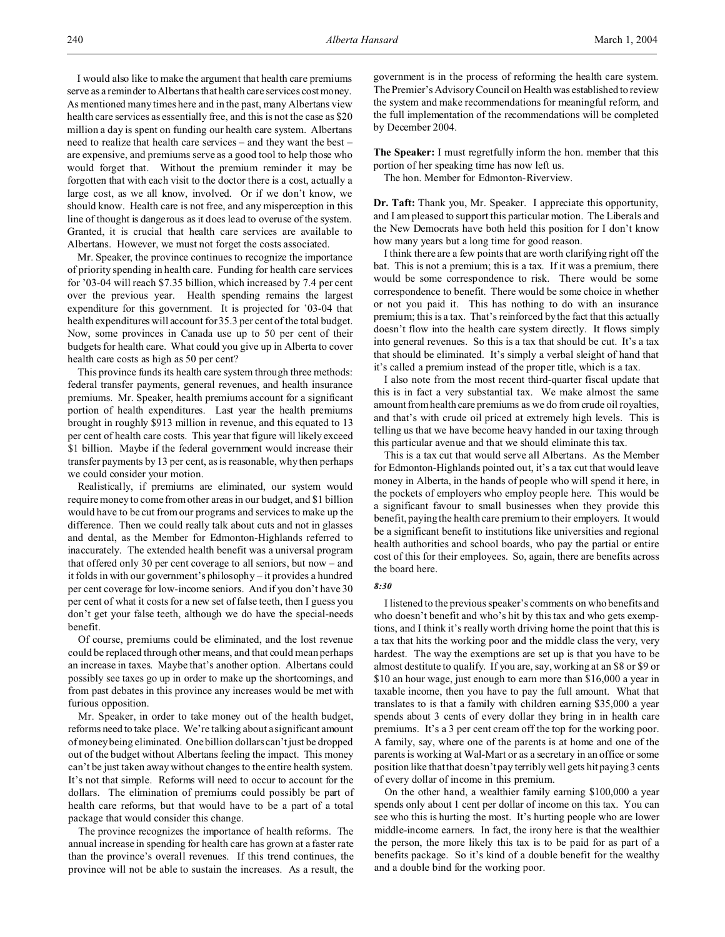I would also like to make the argument that health care premiums serve as a reminder to Albertans that health care services cost money. As mentioned many times here and in the past, many Albertans view health care services as essentially free, and this is not the case as \$20 million a day is spent on funding our health care system. Albertans need to realize that health care services – and they want the best – are expensive, and premiums serve as a good tool to help those who would forget that. Without the premium reminder it may be forgotten that with each visit to the doctor there is a cost, actually a large cost, as we all know, involved. Or if we don't know, we should know. Health care is not free, and any misperception in this line of thought is dangerous as it does lead to overuse of the system. Granted, it is crucial that health care services are available to Albertans. However, we must not forget the costs associated.

Mr. Speaker, the province continues to recognize the importance of priority spending in health care. Funding for health care services for '03-04 will reach \$7.35 billion, which increased by 7.4 per cent over the previous year. Health spending remains the largest expenditure for this government. It is projected for '03-04 that health expenditures will account for 35.3 per cent of the total budget. Now, some provinces in Canada use up to 50 per cent of their budgets for health care. What could you give up in Alberta to cover health care costs as high as 50 per cent?

This province funds its health care system through three methods: federal transfer payments, general revenues, and health insurance premiums. Mr. Speaker, health premiums account for a significant portion of health expenditures. Last year the health premiums brought in roughly \$913 million in revenue, and this equated to 13 per cent of health care costs. This year that figure will likely exceed \$1 billion. Maybe if the federal government would increase their transfer payments by 13 per cent, as is reasonable, why then perhaps we could consider your motion.

Realistically, if premiums are eliminated, our system would require money to come from other areas in our budget, and \$1 billion would have to be cut from our programs and services to make up the difference. Then we could really talk about cuts and not in glasses and dental, as the Member for Edmonton-Highlands referred to inaccurately. The extended health benefit was a universal program that offered only 30 per cent coverage to all seniors, but now – and it folds in with our government's philosophy – it provides a hundred per cent coverage for low-income seniors. And if you don't have 30 per cent of what it costs for a new set of false teeth, then I guess you don't get your false teeth, although we do have the special-needs benefit.

Of course, premiums could be eliminated, and the lost revenue could be replaced through other means, and that could mean perhaps an increase in taxes. Maybe that's another option. Albertans could possibly see taxes go up in order to make up the shortcomings, and from past debates in this province any increases would be met with furious opposition.

Mr. Speaker, in order to take money out of the health budget, reforms need to take place. We're talking about a significant amount of money being eliminated. One billion dollars can't just be dropped out of the budget without Albertans feeling the impact. This money can't be just taken away without changes to the entire health system. It's not that simple. Reforms will need to occur to account for the dollars. The elimination of premiums could possibly be part of health care reforms, but that would have to be a part of a total package that would consider this change.

The province recognizes the importance of health reforms. The annual increase in spending for health care has grown at a faster rate than the province's overall revenues. If this trend continues, the province will not be able to sustain the increases. As a result, the government is in the process of reforming the health care system. The Premier's Advisory Council on Health was established to review the system and make recommendations for meaningful reform, and the full implementation of the recommendations will be completed by December 2004.

**The Speaker:** I must regretfully inform the hon. member that this portion of her speaking time has now left us.

The hon. Member for Edmonton-Riverview.

**Dr. Taft:** Thank you, Mr. Speaker. I appreciate this opportunity, and I am pleased to support this particular motion. The Liberals and the New Democrats have both held this position for I don't know how many years but a long time for good reason.

I think there are a few points that are worth clarifying right off the bat. This is not a premium; this is a tax. If it was a premium, there would be some correspondence to risk. There would be some correspondence to benefit. There would be some choice in whether or not you paid it. This has nothing to do with an insurance premium; this is a tax. That's reinforced by the fact that this actually doesn't flow into the health care system directly. It flows simply into general revenues. So this is a tax that should be cut. It's a tax that should be eliminated. It's simply a verbal sleight of hand that it's called a premium instead of the proper title, which is a tax.

I also note from the most recent third-quarter fiscal update that this is in fact a very substantial tax. We make almost the same amount from health care premiums as we do from crude oil royalties, and that's with crude oil priced at extremely high levels. This is telling us that we have become heavy handed in our taxing through this particular avenue and that we should eliminate this tax.

This is a tax cut that would serve all Albertans. As the Member for Edmonton-Highlands pointed out, it's a tax cut that would leave money in Alberta, in the hands of people who will spend it here, in the pockets of employers who employ people here. This would be a significant favour to small businesses when they provide this benefit, paying the health care premium to their employers. It would be a significant benefit to institutions like universities and regional health authorities and school boards, who pay the partial or entire cost of this for their employees. So, again, there are benefits across the board here.

#### *8:30*

I listened to the previous speaker's comments on who benefits and who doesn't benefit and who's hit by this tax and who gets exemptions, and I think it's really worth driving home the point that this is a tax that hits the working poor and the middle class the very, very hardest. The way the exemptions are set up is that you have to be almost destitute to qualify. If you are, say, working at an \$8 or \$9 or \$10 an hour wage, just enough to earn more than \$16,000 a year in taxable income, then you have to pay the full amount. What that translates to is that a family with children earning \$35,000 a year spends about 3 cents of every dollar they bring in in health care premiums. It's a 3 per cent cream off the top for the working poor. A family, say, where one of the parents is at home and one of the parents is working at Wal-Mart or as a secretary in an office or some position like that that doesn't pay terribly well gets hit paying 3 cents of every dollar of income in this premium.

On the other hand, a wealthier family earning \$100,000 a year spends only about 1 cent per dollar of income on this tax. You can see who this is hurting the most. It's hurting people who are lower middle-income earners. In fact, the irony here is that the wealthier the person, the more likely this tax is to be paid for as part of a benefits package. So it's kind of a double benefit for the wealthy and a double bind for the working poor.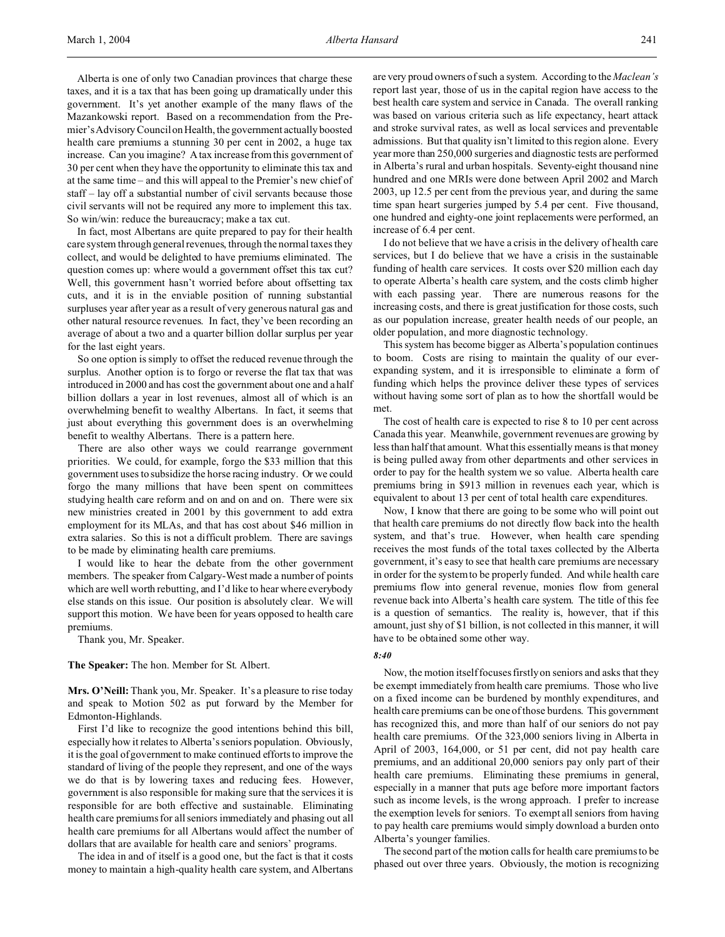Alberta is one of only two Canadian provinces that charge these taxes, and it is a tax that has been going up dramatically under this government. It's yet another example of the many flaws of the Mazankowski report. Based on a recommendation from the Premier's Advisory Council on Health, the government actually boosted health care premiums a stunning 30 per cent in 2002, a huge tax increase. Can you imagine? A tax increase from this government of 30 per cent when they have the opportunity to eliminate this tax and at the same time – and this will appeal to the Premier's new chief of staff – lay off a substantial number of civil servants because those civil servants will not be required any more to implement this tax. So win/win: reduce the bureaucracy; make a tax cut.

In fact, most Albertans are quite prepared to pay for their health care system through general revenues, through the normal taxes they collect, and would be delighted to have premiums eliminated. The question comes up: where would a government offset this tax cut? Well, this government hasn't worried before about offsetting tax cuts, and it is in the enviable position of running substantial surpluses year after year as a result of very generous natural gas and other natural resource revenues. In fact, they've been recording an average of about a two and a quarter billion dollar surplus per year for the last eight years.

So one option is simply to offset the reduced revenue through the surplus. Another option is to forgo or reverse the flat tax that was introduced in 2000 and has cost the government about one and a half billion dollars a year in lost revenues, almost all of which is an overwhelming benefit to wealthy Albertans. In fact, it seems that just about everything this government does is an overwhelming benefit to wealthy Albertans. There is a pattern here.

There are also other ways we could rearrange government priorities. We could, for example, forgo the \$33 million that this government uses to subsidize the horse racing industry. Or we could forgo the many millions that have been spent on committees studying health care reform and on and on and on. There were six new ministries created in 2001 by this government to add extra employment for its MLAs, and that has cost about \$46 million in extra salaries. So this is not a difficult problem. There are savings to be made by eliminating health care premiums.

I would like to hear the debate from the other government members. The speaker from Calgary-West made a number of points which are well worth rebutting, and I'd like to hear where everybody else stands on this issue. Our position is absolutely clear. We will support this motion. We have been for years opposed to health care premiums.

Thank you, Mr. Speaker.

**The Speaker:** The hon. Member for St. Albert.

**Mrs. O'Neill:** Thank you, Mr. Speaker. It's a pleasure to rise today and speak to Motion 502 as put forward by the Member for Edmonton-Highlands.

First I'd like to recognize the good intentions behind this bill, especially how it relates to Alberta's seniors population. Obviously, it is the goal of government to make continued efforts to improve the standard of living of the people they represent, and one of the ways we do that is by lowering taxes and reducing fees. However, government is also responsible for making sure that the services it is responsible for are both effective and sustainable. Eliminating health care premiums for all seniors immediately and phasing out all health care premiums for all Albertans would affect the number of dollars that are available for health care and seniors' programs.

The idea in and of itself is a good one, but the fact is that it costs money to maintain a high-quality health care system, and Albertans are very proud owners of such a system. According to the *Maclean's* report last year, those of us in the capital region have access to the best health care system and service in Canada. The overall ranking was based on various criteria such as life expectancy, heart attack and stroke survival rates, as well as local services and preventable admissions. But that quality isn't limited to this region alone. Every year more than 250,000 surgeries and diagnostic tests are performed in Alberta's rural and urban hospitals. Seventy-eight thousand nine hundred and one MRIs were done between April 2002 and March 2003, up 12.5 per cent from the previous year, and during the same time span heart surgeries jumped by 5.4 per cent. Five thousand, one hundred and eighty-one joint replacements were performed, an increase of 6.4 per cent.

I do not believe that we have a crisis in the delivery of health care services, but I do believe that we have a crisis in the sustainable funding of health care services. It costs over \$20 million each day to operate Alberta's health care system, and the costs climb higher with each passing year. There are numerous reasons for the increasing costs, and there is great justification for those costs, such as our population increase, greater health needs of our people, an older population, and more diagnostic technology.

This system has become bigger as Alberta's population continues to boom. Costs are rising to maintain the quality of our everexpanding system, and it is irresponsible to eliminate a form of funding which helps the province deliver these types of services without having some sort of plan as to how the shortfall would be met.

The cost of health care is expected to rise 8 to 10 per cent across Canada this year. Meanwhile, government revenues are growing by less than half that amount. What this essentially means is that money is being pulled away from other departments and other services in order to pay for the health system we so value. Alberta health care premiums bring in \$913 million in revenues each year, which is equivalent to about 13 per cent of total health care expenditures.

Now, I know that there are going to be some who will point out that health care premiums do not directly flow back into the health system, and that's true. However, when health care spending receives the most funds of the total taxes collected by the Alberta government, it's easy to see that health care premiums are necessary in order for the system to be properly funded. And while health care premiums flow into general revenue, monies flow from general revenue back into Alberta's health care system. The title of this fee is a question of semantics. The reality is, however, that if this amount, just shy of \$1 billion, is not collected in this manner, it will have to be obtained some other way.

### *8:40*

Now, the motion itself focuses firstly on seniors and asks that they be exempt immediately from health care premiums. Those who live on a fixed income can be burdened by monthly expenditures, and health care premiums can be one of those burdens. This government has recognized this, and more than half of our seniors do not pay health care premiums. Of the 323,000 seniors living in Alberta in April of 2003, 164,000, or 51 per cent, did not pay health care premiums, and an additional 20,000 seniors pay only part of their health care premiums. Eliminating these premiums in general, especially in a manner that puts age before more important factors such as income levels, is the wrong approach. I prefer to increase the exemption levels for seniors. To exempt all seniors from having to pay health care premiums would simply download a burden onto Alberta's younger families.

The second part of the motion calls for health care premiums to be phased out over three years. Obviously, the motion is recognizing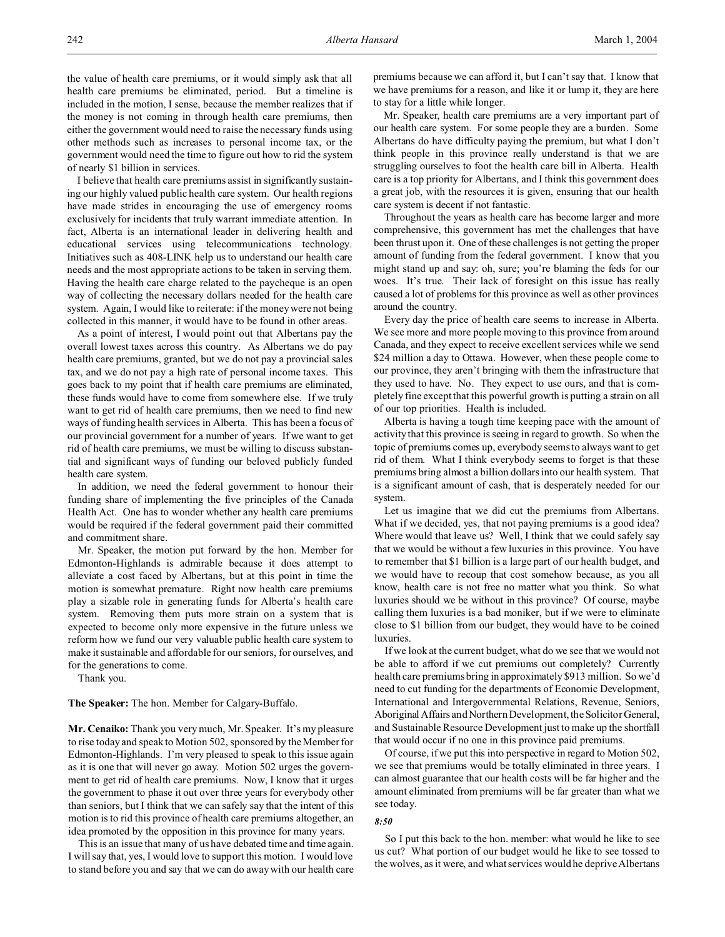the value of health care premiums, or it would simply ask that all health care premiums be eliminated, period. But a timeline is included in the motion, I sense, because the member realizes that if the money is not coming in through health care premiums, then either the government would need to raise the necessary funds using other methods such as increases to personal income tax, or the government would need the time to figure out how to rid the system of nearly \$1 billion in services.

I believe that health care premiums assist in significantly sustaining our highly valued public health care system. Our health regions have made strides in encouraging the use of emergency rooms exclusively for incidents that truly warrant immediate attention. In fact, Alberta is an international leader in delivering health and educational services using telecommunications technology. Initiatives such as 408-LINK help us to understand our health care needs and the most appropriate actions to be taken in serving them. Having the health care charge related to the paycheque is an open way of collecting the necessary dollars needed for the health care system. Again, I would like to reiterate: if the money were not being collected in this manner, it would have to be found in other areas.

As a point of interest, I would point out that Albertans pay the overall lowest taxes across this country. As Albertans we do pay health care premiums, granted, but we do not pay a provincial sales tax, and we do not pay a high rate of personal income taxes. This goes back to my point that if health care premiums are eliminated, these funds would have to come from somewhere else. If we truly want to get rid of health care premiums, then we need to find new ways of funding health services in Alberta. This has been a focus of our provincial government for a number of years. If we want to get rid of health care premiums, we must be willing to discuss substantial and significant ways of funding our beloved publicly funded health care system.

In addition, we need the federal government to honour their funding share of implementing the five principles of the Canada Health Act. One has to wonder whether any health care premiums would be required if the federal government paid their committed and commitment share.

Mr. Speaker, the motion put forward by the hon. Member for Edmonton-Highlands is admirable because it does attempt to alleviate a cost faced by Albertans, but at this point in time the motion is somewhat premature. Right now health care premiums play a sizable role in generating funds for Alberta's health care system. Removing them puts more strain on a system that is expected to become only more expensive in the future unless we reform how we fund our very valuable public health care system to make it sustainable and affordable for our seniors, for ourselves, and for the generations to come.

Thank you.

**The Speaker:** The hon. Member for Calgary-Buffalo.

**Mr. Cenaiko:** Thank you very much, Mr. Speaker. It's my pleasure to rise today and speak to Motion 502, sponsored by the Member for Edmonton-Highlands. I'm very pleased to speak to this issue again as it is one that will never go away. Motion 502 urges the government to get rid of health care premiums. Now, I know that it urges the government to phase it out over three years for everybody other than seniors, but I think that we can safely say that the intent of this motion is to rid this province of health care premiums altogether, an idea promoted by the opposition in this province for many years.

This is an issue that many of us have debated time and time again. I will say that, yes, I would love to support this motion. I would love to stand before you and say that we can do away with our health care

premiums because we can afford it, but I can't say that. I know that we have premiums for a reason, and like it or lump it, they are here to stay for a little while longer.

Mr. Speaker, health care premiums are a very important part of our health care system. For some people they are a burden. Some Albertans do have difficulty paying the premium, but what I don't think people in this province really understand is that we are struggling ourselves to foot the health care bill in Alberta. Health care is a top priority for Albertans, and I think this government does a great job, with the resources it is given, ensuring that our health care system is decent if not fantastic.

Throughout the years as health care has become larger and more comprehensive, this government has met the challenges that have been thrust upon it. One of these challenges is not getting the proper amount of funding from the federal government. I know that you might stand up and say: oh, sure; you're blaming the feds for our woes. It's true. Their lack of foresight on this issue has really caused a lot of problems for this province as well as other provinces around the country.

Every day the price of health care seems to increase in Alberta. We see more and more people moving to this province from around Canada, and they expect to receive excellent services while we send \$24 million a day to Ottawa. However, when these people come to our province, they aren't bringing with them the infrastructure that they used to have. No. They expect to use ours, and that is completely fine except that this powerful growth is putting a strain on all of our top priorities. Health is included.

Alberta is having a tough time keeping pace with the amount of activity that this province is seeing in regard to growth. So when the topic of premiums comes up, everybody seems to always want to get rid of them. What I think everybody seems to forget is that these premiums bring almost a billion dollars into our health system. That is a significant amount of cash, that is desperately needed for our system.

Let us imagine that we did cut the premiums from Albertans. What if we decided, yes, that not paying premiums is a good idea? Where would that leave us? Well, I think that we could safely say that we would be without a few luxuries in this province. You have to remember that \$1 billion is a large part of our health budget, and we would have to recoup that cost somehow because, as you all know, health care is not free no matter what you think. So what luxuries should we be without in this province? Of course, maybe calling them luxuries is a bad moniker, but if we were to eliminate close to \$1 billion from our budget, they would have to be coined luxuries.

If we look at the current budget, what do we see that we would not be able to afford if we cut premiums out completely? Currently health care premiums bring in approximately \$913 million. So we'd need to cut funding for the departments of Economic Development, International and Intergovernmental Relations, Revenue, Seniors, Aboriginal Affairs and Northern Development, the Solicitor General, and Sustainable Resource Development just to make up the shortfall that would occur if no one in this province paid premiums.

Of course, if we put this into perspective in regard to Motion 502, we see that premiums would be totally eliminated in three years. I can almost guarantee that our health costs will be far higher and the amount eliminated from premiums will be far greater than what we see today.

### *8:50*

So I put this back to the hon. member: what would he like to see us cut? What portion of our budget would he like to see tossed to the wolves, as it were, and what services would he deprive Albertans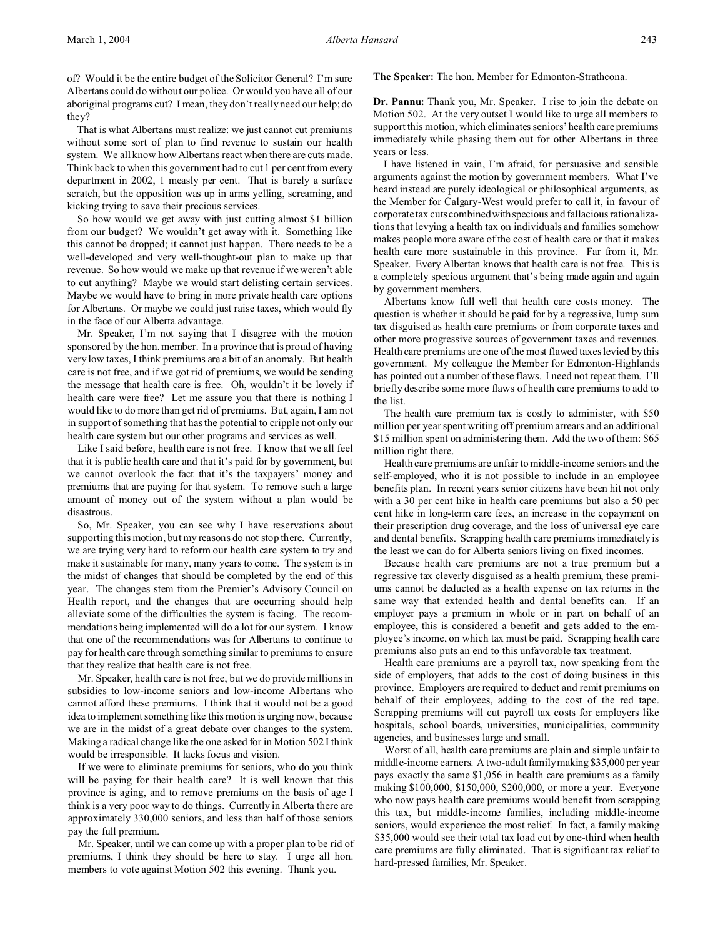of? Would it be the entire budget of the Solicitor General? I'm sure Albertans could do without our police. Or would you have all of our aboriginal programs cut? I mean, they don't really need our help; do they?

That is what Albertans must realize: we just cannot cut premiums without some sort of plan to find revenue to sustain our health system. We all know how Albertans react when there are cuts made. Think back to when this government had to cut 1 per cent from every department in 2002, 1 measly per cent. That is barely a surface scratch, but the opposition was up in arms yelling, screaming, and kicking trying to save their precious services.

So how would we get away with just cutting almost \$1 billion from our budget? We wouldn't get away with it. Something like this cannot be dropped; it cannot just happen. There needs to be a well-developed and very well-thought-out plan to make up that revenue. So how would we make up that revenue if we weren't able to cut anything? Maybe we would start delisting certain services. Maybe we would have to bring in more private health care options for Albertans. Or maybe we could just raise taxes, which would fly in the face of our Alberta advantage.

Mr. Speaker, I'm not saying that I disagree with the motion sponsored by the hon. member. In a province that is proud of having very low taxes, I think premiums are a bit of an anomaly. But health care is not free, and if we got rid of premiums, we would be sending the message that health care is free. Oh, wouldn't it be lovely if health care were free? Let me assure you that there is nothing I would like to do more than get rid of premiums. But, again, I am not in support of something that has the potential to cripple not only our health care system but our other programs and services as well.

Like I said before, health care is not free. I know that we all feel that it is public health care and that it's paid for by government, but we cannot overlook the fact that it's the taxpayers' money and premiums that are paying for that system. To remove such a large amount of money out of the system without a plan would be disastrous.

So, Mr. Speaker, you can see why I have reservations about supporting this motion, but my reasons do not stop there. Currently, we are trying very hard to reform our health care system to try and make it sustainable for many, many years to come. The system is in the midst of changes that should be completed by the end of this year. The changes stem from the Premier's Advisory Council on Health report, and the changes that are occurring should help alleviate some of the difficulties the system is facing. The recommendations being implemented will do a lot for our system. I know that one of the recommendations was for Albertans to continue to pay for health care through something similar to premiums to ensure that they realize that health care is not free.

Mr. Speaker, health care is not free, but we do provide millions in subsidies to low-income seniors and low-income Albertans who cannot afford these premiums. I think that it would not be a good idea to implement something like this motion is urging now, because we are in the midst of a great debate over changes to the system. Making a radical change like the one asked for in Motion 502 I think would be irresponsible. It lacks focus and vision.

If we were to eliminate premiums for seniors, who do you think will be paying for their health care? It is well known that this province is aging, and to remove premiums on the basis of age I think is a very poor way to do things. Currently in Alberta there are approximately 330,000 seniors, and less than half of those seniors pay the full premium.

Mr. Speaker, until we can come up with a proper plan to be rid of premiums, I think they should be here to stay. I urge all hon. members to vote against Motion 502 this evening. Thank you.

**The Speaker:** The hon. Member for Edmonton-Strathcona.

**Dr. Pannu:** Thank you, Mr. Speaker. I rise to join the debate on Motion 502. At the very outset I would like to urge all members to support this motion, which eliminates seniors' health care premiums immediately while phasing them out for other Albertans in three years or less.

I have listened in vain, I'm afraid, for persuasive and sensible arguments against the motion by government members. What I've heard instead are purely ideological or philosophical arguments, as the Member for Calgary-West would prefer to call it, in favour of corporate tax cuts combined withspecious and fallacious rationalizations that levying a health tax on individuals and families somehow makes people more aware of the cost of health care or that it makes health care more sustainable in this province. Far from it, Mr. Speaker. Every Albertan knows that health care is not free. This is a completely specious argument that's being made again and again by government members.

Albertans know full well that health care costs money. The question is whether it should be paid for by a regressive, lump sum tax disguised as health care premiums or from corporate taxes and other more progressive sources of government taxes and revenues. Health care premiums are one of the most flawed taxes levied by this government. My colleague the Member for Edmonton-Highlands has pointed out a number of these flaws. I need not repeat them. I'll briefly describe some more flaws of health care premiums to add to the list.

The health care premium tax is costly to administer, with \$50 million per year spent writing off premium arrears and an additional \$15 million spent on administering them. Add the two of them: \$65 million right there.

Health care premiums are unfair to middle-income seniors and the self-employed, who it is not possible to include in an employee benefits plan. In recent years senior citizens have been hit not only with a 30 per cent hike in health care premiums but also a 50 per cent hike in long-term care fees, an increase in the copayment on their prescription drug coverage, and the loss of universal eye care and dental benefits. Scrapping health care premiums immediately is the least we can do for Alberta seniors living on fixed incomes.

Because health care premiums are not a true premium but a regressive tax cleverly disguised as a health premium, these premiums cannot be deducted as a health expense on tax returns in the same way that extended health and dental benefits can. If an employer pays a premium in whole or in part on behalf of an employee, this is considered a benefit and gets added to the employee's income, on which tax must be paid. Scrapping health care premiums also puts an end to this unfavorable tax treatment.

Health care premiums are a payroll tax, now speaking from the side of employers, that adds to the cost of doing business in this province. Employers are required to deduct and remit premiums on behalf of their employees, adding to the cost of the red tape. Scrapping premiums will cut payroll tax costs for employers like hospitals, school boards, universities, municipalities, community agencies, and businesses large and small.

Worst of all, health care premiums are plain and simple unfair to middle-income earners. A two-adult family making \$35,000 per year pays exactly the same \$1,056 in health care premiums as a family making \$100,000, \$150,000, \$200,000, or more a year. Everyone who now pays health care premiums would benefit from scrapping this tax, but middle-income families, including middle-income seniors, would experience the most relief. In fact, a family making \$35,000 would see their total tax load cut by one-third when health care premiums are fully eliminated. That is significant tax relief to hard-pressed families, Mr. Speaker.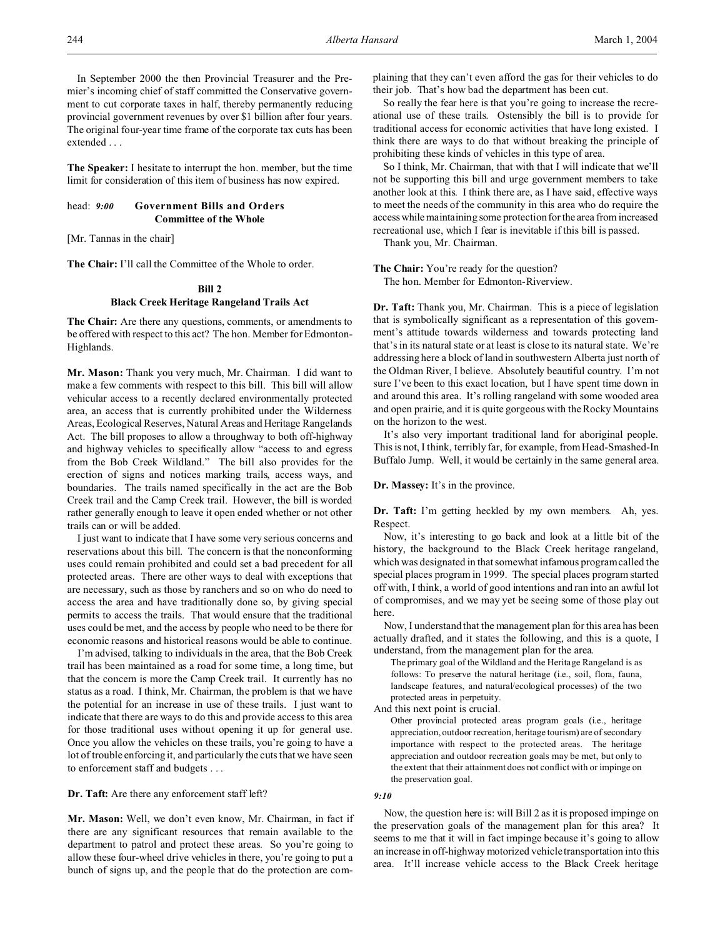In September 2000 the then Provincial Treasurer and the Premier's incoming chief of staff committed the Conservative government to cut corporate taxes in half, thereby permanently reducing provincial government revenues by over \$1 billion after four years. The original four-year time frame of the corporate tax cuts has been extended . . .

**The Speaker:** I hesitate to interrupt the hon. member, but the time limit for consideration of this item of business has now expired.

# head: *9:00* **Government Bills and Orders Committee of the Whole**

[Mr. Tannas in the chair]

**The Chair:** I'll call the Committee of the Whole to order.

# **Bill 2 Black Creek Heritage Rangeland Trails Act**

**The Chair:** Are there any questions, comments, or amendments to be offered with respect to this act? The hon. Member for Edmonton-Highlands.

**Mr. Mason:** Thank you very much, Mr. Chairman. I did want to make a few comments with respect to this bill. This bill will allow vehicular access to a recently declared environmentally protected area, an access that is currently prohibited under the Wilderness Areas, Ecological Reserves, Natural Areas and Heritage Rangelands Act. The bill proposes to allow a throughway to both off-highway and highway vehicles to specifically allow "access to and egress from the Bob Creek Wildland." The bill also provides for the erection of signs and notices marking trails, access ways, and boundaries. The trails named specifically in the act are the Bob Creek trail and the Camp Creek trail. However, the bill is worded rather generally enough to leave it open ended whether or not other trails can or will be added.

I just want to indicate that I have some very serious concerns and reservations about this bill. The concern is that the nonconforming uses could remain prohibited and could set a bad precedent for all protected areas. There are other ways to deal with exceptions that are necessary, such as those by ranchers and so on who do need to access the area and have traditionally done so, by giving special permits to access the trails. That would ensure that the traditional uses could be met, and the access by people who need to be there for economic reasons and historical reasons would be able to continue.

I'm advised, talking to individuals in the area, that the Bob Creek trail has been maintained as a road for some time, a long time, but that the concern is more the Camp Creek trail. It currently has no status as a road. I think, Mr. Chairman, the problem is that we have the potential for an increase in use of these trails. I just want to indicate that there are ways to do this and provide access to this area for those traditional uses without opening it up for general use. Once you allow the vehicles on these trails, you're going to have a lot of trouble enforcing it, and particularly the cuts that we have seen to enforcement staff and budgets . . .

**Dr. Taft:** Are there any enforcement staff left?

**Mr. Mason:** Well, we don't even know, Mr. Chairman, in fact if there are any significant resources that remain available to the department to patrol and protect these areas. So you're going to allow these four-wheel drive vehicles in there, you're going to put a bunch of signs up, and the people that do the protection are complaining that they can't even afford the gas for their vehicles to do their job. That's how bad the department has been cut.

So really the fear here is that you're going to increase the recreational use of these trails. Ostensibly the bill is to provide for traditional access for economic activities that have long existed. I think there are ways to do that without breaking the principle of prohibiting these kinds of vehicles in this type of area.

So I think, Mr. Chairman, that with that I will indicate that we'll not be supporting this bill and urge government members to take another look at this. I think there are, as I have said, effective ways to meet the needs of the community in this area who do require the access while maintaining some protection for the area from increased recreational use, which I fear is inevitable if this bill is passed.

Thank you, Mr. Chairman.

**The Chair:** You're ready for the question?

The hon. Member for Edmonton-Riverview.

**Dr. Taft:** Thank you, Mr. Chairman. This is a piece of legislation that is symbolically significant as a representation of this government's attitude towards wilderness and towards protecting land that's in its natural state or at least is close to its natural state. We're addressing here a block of land in southwestern Alberta just north of the Oldman River, I believe. Absolutely beautiful country. I'm not sure I've been to this exact location, but I have spent time down in and around this area. It's rolling rangeland with some wooded area and open prairie, and it is quite gorgeous with the Rocky Mountains on the horizon to the west.

It's also very important traditional land for aboriginal people. This is not, I think, terribly far, for example, from Head-Smashed-In Buffalo Jump. Well, it would be certainly in the same general area.

**Dr. Massey:** It's in the province.

**Dr. Taft:** I'm getting heckled by my own members. Ah, yes. Respect.

Now, it's interesting to go back and look at a little bit of the history, the background to the Black Creek heritage rangeland, which was designated in that somewhat infamous program called the special places program in 1999. The special places program started off with, I think, a world of good intentions and ran into an awful lot of compromises, and we may yet be seeing some of those play out here.

Now, I understand that the management plan for this area has been actually drafted, and it states the following, and this is a quote, I understand, from the management plan for the area.

The primary goal of the Wildland and the Heritage Rangeland is as follows: To preserve the natural heritage (i.e., soil, flora, fauna, landscape features, and natural/ecological processes) of the two protected areas in perpetuity.

And this next point is crucial.

Other provincial protected areas program goals (i.e., heritage appreciation, outdoor recreation, heritage tourism) are of secondary importance with respect to the protected areas. The heritage appreciation and outdoor recreation goals may be met, but only to the extent that their attainment does not conflict with or impinge on the preservation goal.

#### *9:10*

Now, the question here is: will Bill 2 as it is proposed impinge on the preservation goals of the management plan for this area? It seems to me that it will in fact impinge because it's going to allow an increase in off-highway motorized vehicle transportation into this area. It'll increase vehicle access to the Black Creek heritage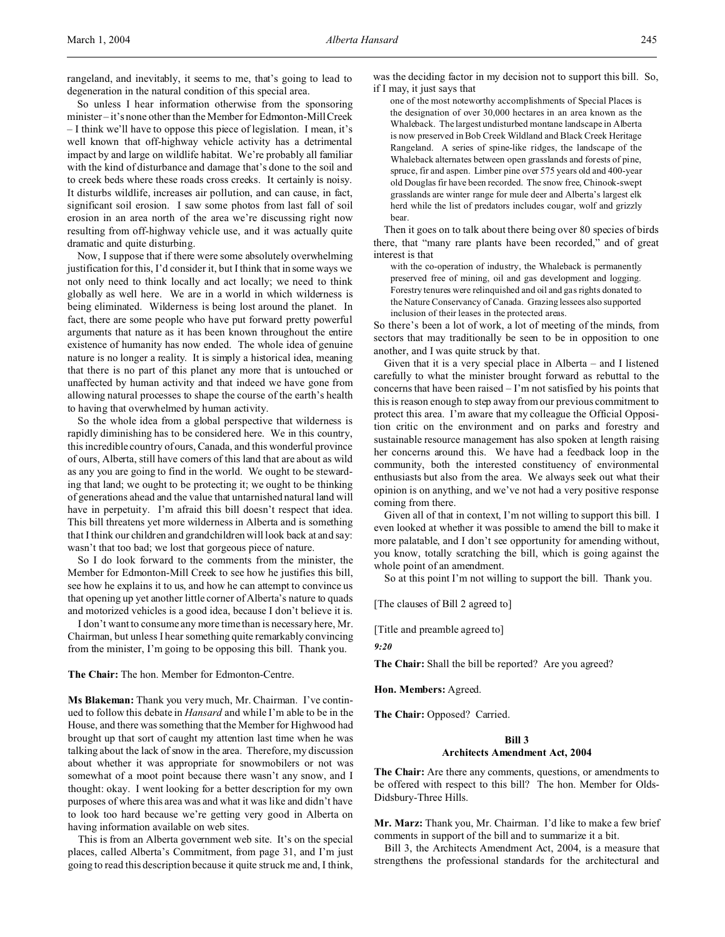rangeland, and inevitably, it seems to me, that's going to lead to degeneration in the natural condition of this special area.

So unless I hear information otherwise from the sponsoring minister – it's none other than the Member for Edmonton-Mill Creek – I think we'll have to oppose this piece of legislation. I mean, it's well known that off-highway vehicle activity has a detrimental impact by and large on wildlife habitat. We're probably all familiar with the kind of disturbance and damage that's done to the soil and to creek beds where these roads cross creeks. It certainly is noisy. It disturbs wildlife, increases air pollution, and can cause, in fact, significant soil erosion. I saw some photos from last fall of soil erosion in an area north of the area we're discussing right now resulting from off-highway vehicle use, and it was actually quite dramatic and quite disturbing.

Now, I suppose that if there were some absolutely overwhelming justification for this, I'd consider it, but I think that in some ways we not only need to think locally and act locally; we need to think globally as well here. We are in a world in which wilderness is being eliminated. Wilderness is being lost around the planet. In fact, there are some people who have put forward pretty powerful arguments that nature as it has been known throughout the entire existence of humanity has now ended. The whole idea of genuine nature is no longer a reality. It is simply a historical idea, meaning that there is no part of this planet any more that is untouched or unaffected by human activity and that indeed we have gone from allowing natural processes to shape the course of the earth's health to having that overwhelmed by human activity.

So the whole idea from a global perspective that wilderness is rapidly diminishing has to be considered here. We in this country, this incredible country of ours, Canada, and this wonderful province of ours, Alberta, still have corners of this land that are about as wild as any you are going to find in the world. We ought to be stewarding that land; we ought to be protecting it; we ought to be thinking of generations ahead and the value that untarnished natural land will have in perpetuity. I'm afraid this bill doesn't respect that idea. This bill threatens yet more wilderness in Alberta and is something that I think our children and grandchildren will look back at and say: wasn't that too bad; we lost that gorgeous piece of nature.

So I do look forward to the comments from the minister, the Member for Edmonton-Mill Creek to see how he justifies this bill, see how he explains it to us, and how he can attempt to convince us that opening up yet another little corner of Alberta's nature to quads and motorized vehicles is a good idea, because I don't believe it is.

I don't want to consume any more time than is necessary here, Mr. Chairman, but unless I hear something quite remarkably convincing from the minister, I'm going to be opposing this bill. Thank you.

**The Chair:** The hon. Member for Edmonton-Centre.

**Ms Blakeman:** Thank you very much, Mr. Chairman. I've continued to follow this debate in *Hansard* and while I'm able to be in the House, and there was something that the Member for Highwood had brought up that sort of caught my attention last time when he was talking about the lack of snow in the area. Therefore, my discussion about whether it was appropriate for snowmobilers or not was somewhat of a moot point because there wasn't any snow, and I thought: okay. I went looking for a better description for my own purposes of where this area was and what it was like and didn't have to look too hard because we're getting very good in Alberta on having information available on web sites.

This is from an Alberta government web site. It's on the special places, called Alberta's Commitment, from page 31, and I'm just going to read this description because it quite struck me and, I think, was the deciding factor in my decision not to support this bill. So, if I may, it just says that

one of the most noteworthy accomplishments of Special Places is the designation of over 30,000 hectares in an area known as the Whaleback. The largest undisturbed montane landscape in Alberta is now preserved in Bob Creek Wildland and Black Creek Heritage Rangeland. A series of spine-like ridges, the landscape of the Whaleback alternates between open grasslands and forests of pine, spruce, fir and aspen. Limber pine over 575 years old and 400-year old Douglas fir have been recorded. The snow free, Chinook-swept grasslands are winter range for mule deer and Alberta's largest elk herd while the list of predators includes cougar, wolf and grizzly bear.

Then it goes on to talk about there being over 80 species of birds there, that "many rare plants have been recorded," and of great interest is that

with the co-operation of industry, the Whaleback is permanently preserved free of mining, oil and gas development and logging. Forestry tenures were relinquished and oil and gas rights donated to the Nature Conservancy of Canada. Grazing lessees also supported inclusion of their leases in the protected areas.

So there's been a lot of work, a lot of meeting of the minds, from sectors that may traditionally be seen to be in opposition to one another, and I was quite struck by that.

Given that it is a very special place in Alberta – and I listened carefully to what the minister brought forward as rebuttal to the concerns that have been raised – I'm not satisfied by his points that this is reason enough to step away from our previous commitment to protect this area. I'm aware that my colleague the Official Opposition critic on the environment and on parks and forestry and sustainable resource management has also spoken at length raising her concerns around this. We have had a feedback loop in the community, both the interested constituency of environmental enthusiasts but also from the area. We always seek out what their opinion is on anything, and we've not had a very positive response coming from there.

Given all of that in context, I'm not willing to support this bill. I even looked at whether it was possible to amend the bill to make it more palatable, and I don't see opportunity for amending without, you know, totally scratching the bill, which is going against the whole point of an amendment.

So at this point I'm not willing to support the bill. Thank you.

[The clauses of Bill 2 agreed to]

[Title and preamble agreed to]

*9:20*

**The Chair:** Shall the bill be reported? Are you agreed?

**Hon. Members:** Agreed.

**The Chair:** Opposed? Carried.

# **Bill 3 Architects Amendment Act, 2004**

**The Chair:** Are there any comments, questions, or amendments to be offered with respect to this bill? The hon. Member for Olds-Didsbury-Three Hills.

**Mr. Marz:** Thank you, Mr. Chairman. I'd like to make a few brief comments in support of the bill and to summarize it a bit.

Bill 3, the Architects Amendment Act, 2004, is a measure that strengthens the professional standards for the architectural and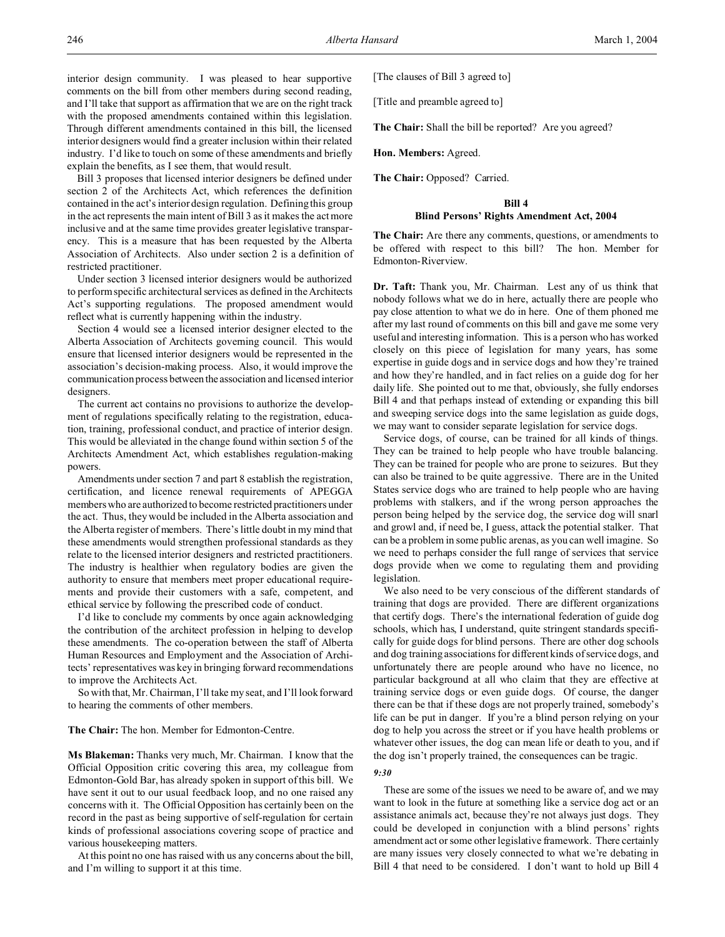Bill 3 proposes that licensed interior designers be defined under section 2 of the Architects Act, which references the definition contained in the act's interior design regulation. Defining this group in the act represents the main intent of Bill 3 as it makes the act more inclusive and at the same time provides greater legislative transparency. This is a measure that has been requested by the Alberta Association of Architects. Also under section 2 is a definition of restricted practitioner.

Under section 3 licensed interior designers would be authorized to perform specific architectural services as defined in the Architects Act's supporting regulations. The proposed amendment would reflect what is currently happening within the industry.

Section 4 would see a licensed interior designer elected to the Alberta Association of Architects governing council. This would ensure that licensed interior designers would be represented in the association's decision-making process. Also, it would improve the communication process between the association and licensed interior designers.

The current act contains no provisions to authorize the development of regulations specifically relating to the registration, education, training, professional conduct, and practice of interior design. This would be alleviated in the change found within section 5 of the Architects Amendment Act, which establishes regulation-making powers.

Amendments under section 7 and part 8 establish the registration, certification, and licence renewal requirements of APEGGA members who are authorized to become restricted practitioners under the act. Thus, they would be included in the Alberta association and the Alberta register of members. There's little doubt in my mind that these amendments would strengthen professional standards as they relate to the licensed interior designers and restricted practitioners. The industry is healthier when regulatory bodies are given the authority to ensure that members meet proper educational requirements and provide their customers with a safe, competent, and ethical service by following the prescribed code of conduct.

I'd like to conclude my comments by once again acknowledging the contribution of the architect profession in helping to develop these amendments. The co-operation between the staff of Alberta Human Resources and Employment and the Association of Architects' representatives was key in bringing forward recommendations to improve the Architects Act.

So with that, Mr. Chairman, I'll take my seat, and I'll look forward to hearing the comments of other members.

### **The Chair:** The hon. Member for Edmonton-Centre.

**Ms Blakeman:** Thanks very much, Mr. Chairman. I know that the Official Opposition critic covering this area, my colleague from Edmonton-Gold Bar, has already spoken in support of this bill. We have sent it out to our usual feedback loop, and no one raised any concerns with it. The Official Opposition has certainly been on the record in the past as being supportive of self-regulation for certain kinds of professional associations covering scope of practice and various housekeeping matters.

At this point no one has raised with us any concerns about the bill, and I'm willing to support it at this time.

[The clauses of Bill 3 agreed to]

[Title and preamble agreed to]

**The Chair:** Shall the bill be reported? Are you agreed?

**Hon. Members:** Agreed.

**The Chair:** Opposed? Carried.

### **Bill 4**

# **Blind Persons' Rights Amendment Act, 2004**

**The Chair:** Are there any comments, questions, or amendments to be offered with respect to this bill? The hon. Member for Edmonton-Riverview.

**Dr. Taft:** Thank you, Mr. Chairman. Lest any of us think that nobody follows what we do in here, actually there are people who pay close attention to what we do in here. One of them phoned me after my last round of comments on this bill and gave me some very useful and interesting information. This is a person who has worked closely on this piece of legislation for many years, has some expertise in guide dogs and in service dogs and how they're trained and how they're handled, and in fact relies on a guide dog for her daily life. She pointed out to me that, obviously, she fully endorses Bill 4 and that perhaps instead of extending or expanding this bill and sweeping service dogs into the same legislation as guide dogs, we may want to consider separate legislation for service dogs.

Service dogs, of course, can be trained for all kinds of things. They can be trained to help people who have trouble balancing. They can be trained for people who are prone to seizures. But they can also be trained to be quite aggressive. There are in the United States service dogs who are trained to help people who are having problems with stalkers, and if the wrong person approaches the person being helped by the service dog, the service dog will snarl and growl and, if need be, I guess, attack the potential stalker. That can be a problem in some public arenas, as you can well imagine. So we need to perhaps consider the full range of services that service dogs provide when we come to regulating them and providing legislation.

We also need to be very conscious of the different standards of training that dogs are provided. There are different organizations that certify dogs. There's the international federation of guide dog schools, which has, I understand, quite stringent standards specifically for guide dogs for blind persons. There are other dog schools and dog training associations for different kinds of service dogs, and unfortunately there are people around who have no licence, no particular background at all who claim that they are effective at training service dogs or even guide dogs. Of course, the danger there can be that if these dogs are not properly trained, somebody's life can be put in danger. If you're a blind person relying on your dog to help you across the street or if you have health problems or whatever other issues, the dog can mean life or death to you, and if the dog isn't properly trained, the consequences can be tragic.

# *9:30*

These are some of the issues we need to be aware of, and we may want to look in the future at something like a service dog act or an assistance animals act, because they're not always just dogs. They could be developed in conjunction with a blind persons' rights amendment act or some other legislative framework. There certainly are many issues very closely connected to what we're debating in Bill 4 that need to be considered. I don't want to hold up Bill 4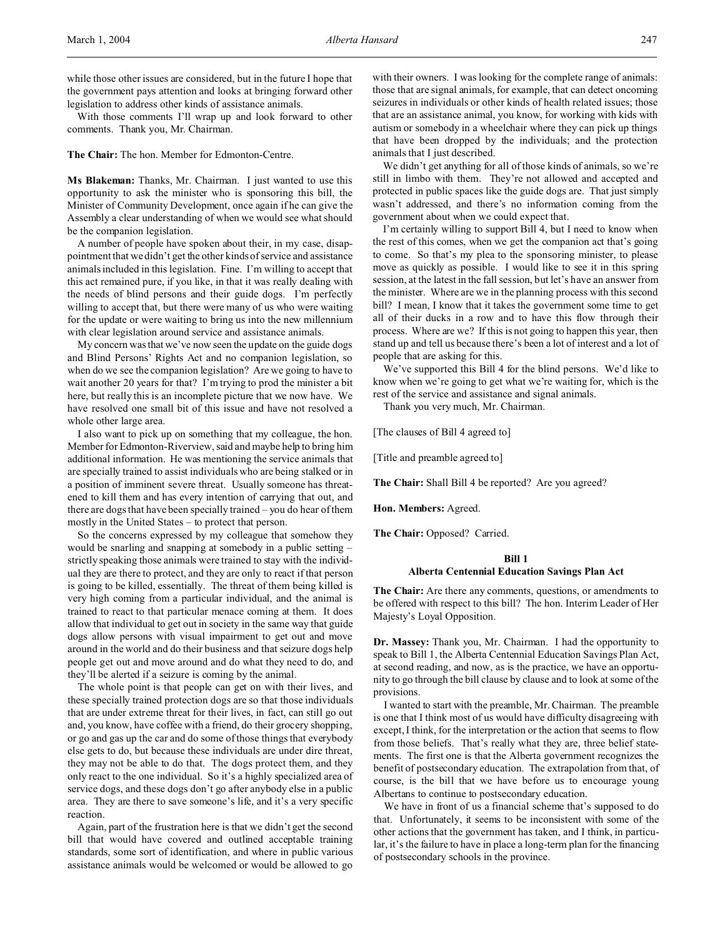With those comments I'll wrap up and look forward to other comments. Thank you, Mr. Chairman.

**The Chair:** The hon. Member for Edmonton-Centre.

**Ms Blakeman:** Thanks, Mr. Chairman. I just wanted to use this opportunity to ask the minister who is sponsoring this bill, the Minister of Community Development, once again if he can give the Assembly a clear understanding of when we would see what should be the companion legislation.

A number of people have spoken about their, in my case, disappointment that we didn't get the other kinds of service and assistance animals included in this legislation. Fine. I'm willing to accept that this act remained pure, if you like, in that it was really dealing with the needs of blind persons and their guide dogs. I'm perfectly willing to accept that, but there were many of us who were waiting for the update or were waiting to bring us into the new millennium with clear legislation around service and assistance animals.

My concern was that we've now seen the update on the guide dogs and Blind Persons' Rights Act and no companion legislation, so when do we see the companion legislation? Are we going to have to wait another 20 years for that? I'm trying to prod the minister a bit here, but really this is an incomplete picture that we now have. We have resolved one small bit of this issue and have not resolved a whole other large area.

I also want to pick up on something that my colleague, the hon. Member for Edmonton-Riverview, said and maybe help to bring him additional information. He was mentioning the service animals that are specially trained to assist individuals who are being stalked or in a position of imminent severe threat. Usually someone has threatened to kill them and has every intention of carrying that out, and there are dogs that have been specially trained – you do hear of them mostly in the United States – to protect that person.

So the concerns expressed by my colleague that somehow they would be snarling and snapping at somebody in a public setting – strictly speaking those animals were trained to stay with the individual they are there to protect, and they are only to react if that person is going to be killed, essentially. The threat of them being killed is very high coming from a particular individual, and the animal is trained to react to that particular menace coming at them. It does allow that individual to get out in society in the same way that guide dogs allow persons with visual impairment to get out and move around in the world and do their business and that seizure dogs help people get out and move around and do what they need to do, and they'll be alerted if a seizure is coming by the animal.

The whole point is that people can get on with their lives, and these specially trained protection dogs are so that those individuals that are under extreme threat for their lives, in fact, can still go out and, you know, have coffee with a friend, do their grocery shopping, or go and gas up the car and do some of those things that everybody else gets to do, but because these individuals are under dire threat, they may not be able to do that. The dogs protect them, and they only react to the one individual. So it's a highly specialized area of service dogs, and these dogs don't go after anybody else in a public area. They are there to save someone's life, and it's a very specific reaction.

Again, part of the frustration here is that we didn't get the second bill that would have covered and outlined acceptable training standards, some sort of identification, and where in public various assistance animals would be welcomed or would be allowed to go

with their owners. I was looking for the complete range of animals: those that are signal animals, for example, that can detect oncoming seizures in individuals or other kinds of health related issues; those that are an assistance animal, you know, for working with kids with autism or somebody in a wheelchair where they can pick up things that have been dropped by the individuals; and the protection animals that I just described.

We didn't get anything for all of those kinds of animals, so we're still in limbo with them. They're not allowed and accepted and protected in public spaces like the guide dogs are. That just simply wasn't addressed, and there's no information coming from the government about when we could expect that.

I'm certainly willing to support Bill 4, but I need to know when the rest of this comes, when we get the companion act that's going to come. So that's my plea to the sponsoring minister, to please move as quickly as possible. I would like to see it in this spring session, at the latest in the fall session, but let's have an answer from the minister. Where are we in the planning process with this second bill? I mean, I know that it takes the government some time to get all of their ducks in a row and to have this flow through their process. Where are we? If this is not going to happen this year, then stand up and tell us because there's been a lot of interest and a lot of people that are asking for this.

We've supported this Bill 4 for the blind persons. We'd like to know when we're going to get what we're waiting for, which is the rest of the service and assistance and signal animals.

Thank you very much, Mr. Chairman.

[The clauses of Bill 4 agreed to]

[Title and preamble agreed to]

**The Chair:** Shall Bill 4 be reported? Are you agreed?

**Hon. Members:** Agreed.

**The Chair:** Opposed? Carried.

# **Bill 1 Alberta Centennial Education Savings Plan Act**

**The Chair:** Are there any comments, questions, or amendments to be offered with respect to this bill? The hon. Interim Leader of Her Majesty's Loyal Opposition.

**Dr. Massey:** Thank you, Mr. Chairman. I had the opportunity to speak to Bill 1, the Alberta Centennial Education Savings Plan Act, at second reading, and now, as is the practice, we have an opportunity to go through the bill clause by clause and to look at some of the provisions.

I wanted to start with the preamble, Mr. Chairman. The preamble is one that I think most of us would have difficulty disagreeing with except, I think, for the interpretation or the action that seems to flow from those beliefs. That's really what they are, three belief statements. The first one is that the Alberta government recognizes the benefit of postsecondary education. The extrapolation from that, of course, is the bill that we have before us to encourage young Albertans to continue to postsecondary education.

We have in front of us a financial scheme that's supposed to do that. Unfortunately, it seems to be inconsistent with some of the other actions that the government has taken, and I think, in particular, it's the failure to have in place a long-term plan for the financing of postsecondary schools in the province.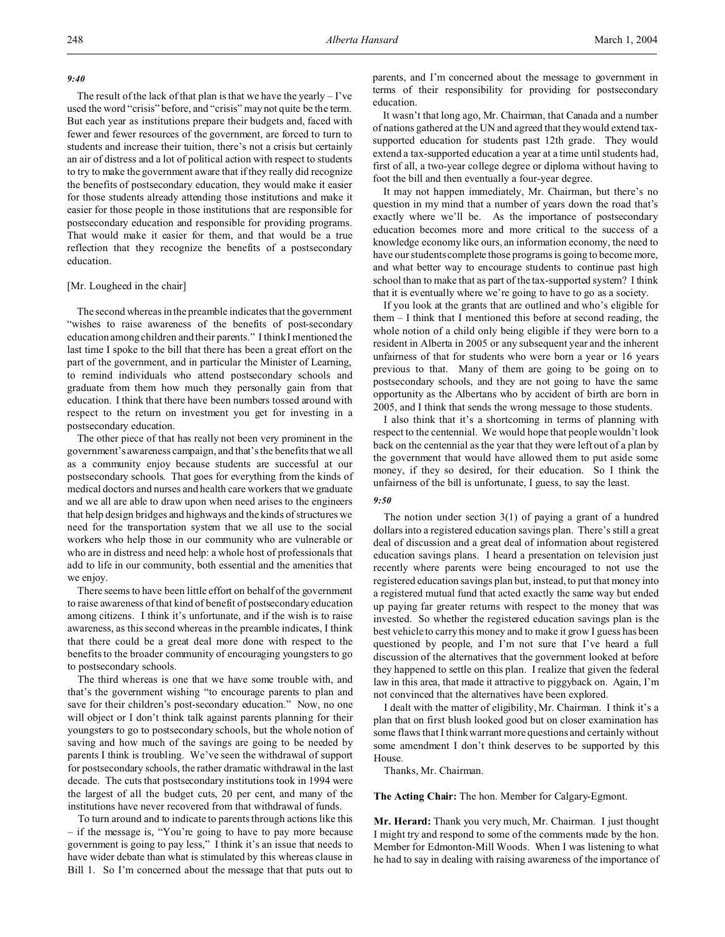## *9:40*

The result of the lack of that plan is that we have the yearly  $-1$ 've used the word "crisis" before, and "crisis" may not quite be the term. But each year as institutions prepare their budgets and, faced with fewer and fewer resources of the government, are forced to turn to students and increase their tuition, there's not a crisis but certainly an air of distress and a lot of political action with respect to students to try to make the government aware that if they really did recognize the benefits of postsecondary education, they would make it easier for those students already attending those institutions and make it easier for those people in those institutions that are responsible for postsecondary education and responsible for providing programs. That would make it easier for them, and that would be a true reflection that they recognize the benefits of a postsecondary education.

# [Mr. Lougheed in the chair]

The second whereas in the preamble indicates that the government "wishes to raise awareness of the benefits of post-secondary education among children and their parents." I think I mentioned the last time I spoke to the bill that there has been a great effort on the part of the government, and in particular the Minister of Learning, to remind individuals who attend postsecondary schools and graduate from them how much they personally gain from that education. I think that there have been numbers tossed around with respect to the return on investment you get for investing in a postsecondary education.

The other piece of that has really not been very prominent in the government's awareness campaign, and that's the benefits that we all as a community enjoy because students are successful at our postsecondary schools. That goes for everything from the kinds of medical doctors and nurses and health care workers that we graduate and we all are able to draw upon when need arises to the engineers that help design bridges and highways and the kinds of structures we need for the transportation system that we all use to the social workers who help those in our community who are vulnerable or who are in distress and need help: a whole host of professionals that add to life in our community, both essential and the amenities that we enjoy.

There seems to have been little effort on behalf of the government to raise awareness of that kind of benefit of postsecondary education among citizens. I think it's unfortunate, and if the wish is to raise awareness, as this second whereas in the preamble indicates, I think that there could be a great deal more done with respect to the benefits to the broader community of encouraging youngsters to go to postsecondary schools.

The third whereas is one that we have some trouble with, and that's the government wishing "to encourage parents to plan and save for their children's post-secondary education." Now, no one will object or I don't think talk against parents planning for their youngsters to go to postsecondary schools, but the whole notion of saving and how much of the savings are going to be needed by parents I think is troubling. We've seen the withdrawal of support for postsecondary schools, the rather dramatic withdrawal in the last decade. The cuts that postsecondary institutions took in 1994 were the largest of all the budget cuts, 20 per cent, and many of the institutions have never recovered from that withdrawal of funds.

To turn around and to indicate to parents through actions like this – if the message is, "You're going to have to pay more because government is going to pay less," I think it's an issue that needs to have wider debate than what is stimulated by this whereas clause in Bill 1. So I'm concerned about the message that that puts out to

parents, and I'm concerned about the message to government in terms of their responsibility for providing for postsecondary education.

It wasn't that long ago, Mr. Chairman, that Canada and a number of nations gathered at the UN and agreed that they would extend taxsupported education for students past 12th grade. They would extend a tax-supported education a year at a time until students had, first of all, a two-year college degree or diploma without having to foot the bill and then eventually a four-year degree.

It may not happen immediately, Mr. Chairman, but there's no question in my mind that a number of years down the road that's exactly where we'll be. As the importance of postsecondary education becomes more and more critical to the success of a knowledge economy like ours, an information economy, the need to have our students complete those programs is going to become more, and what better way to encourage students to continue past high school than to make that as part of the tax-supported system? I think that it is eventually where we're going to have to go as a society.

If you look at the grants that are outlined and who's eligible for them – I think that I mentioned this before at second reading, the whole notion of a child only being eligible if they were born to a resident in Alberta in 2005 or any subsequent year and the inherent unfairness of that for students who were born a year or 16 years previous to that. Many of them are going to be going on to postsecondary schools, and they are not going to have the same opportunity as the Albertans who by accident of birth are born in 2005, and I think that sends the wrong message to those students.

I also think that it's a shortcoming in terms of planning with respect to the centennial. We would hope that people wouldn't look back on the centennial as the year that they were left out of a plan by the government that would have allowed them to put aside some money, if they so desired, for their education. So I think the unfairness of the bill is unfortunate, I guess, to say the least.

## *9:50*

The notion under section 3(1) of paying a grant of a hundred dollars into a registered education savings plan. There's still a great deal of discussion and a great deal of information about registered education savings plans. I heard a presentation on television just recently where parents were being encouraged to not use the registered education savings plan but, instead, to put that money into a registered mutual fund that acted exactly the same way but ended up paying far greater returns with respect to the money that was invested. So whether the registered education savings plan is the best vehicle to carry this money and to make it grow I guess has been questioned by people, and I'm not sure that I've heard a full discussion of the alternatives that the government looked at before they happened to settle on this plan. I realize that given the federal law in this area, that made it attractive to piggyback on. Again, I'm not convinced that the alternatives have been explored.

I dealt with the matter of eligibility, Mr. Chairman. I think it's a plan that on first blush looked good but on closer examination has some flaws that I think warrant more questions and certainly without some amendment I don't think deserves to be supported by this House.

Thanks, Mr. Chairman.

**The Acting Chair:** The hon. Member for Calgary-Egmont.

**Mr. Herard:** Thank you very much, Mr. Chairman. I just thought I might try and respond to some of the comments made by the hon. Member for Edmonton-Mill Woods. When I was listening to what he had to say in dealing with raising awareness of the importance of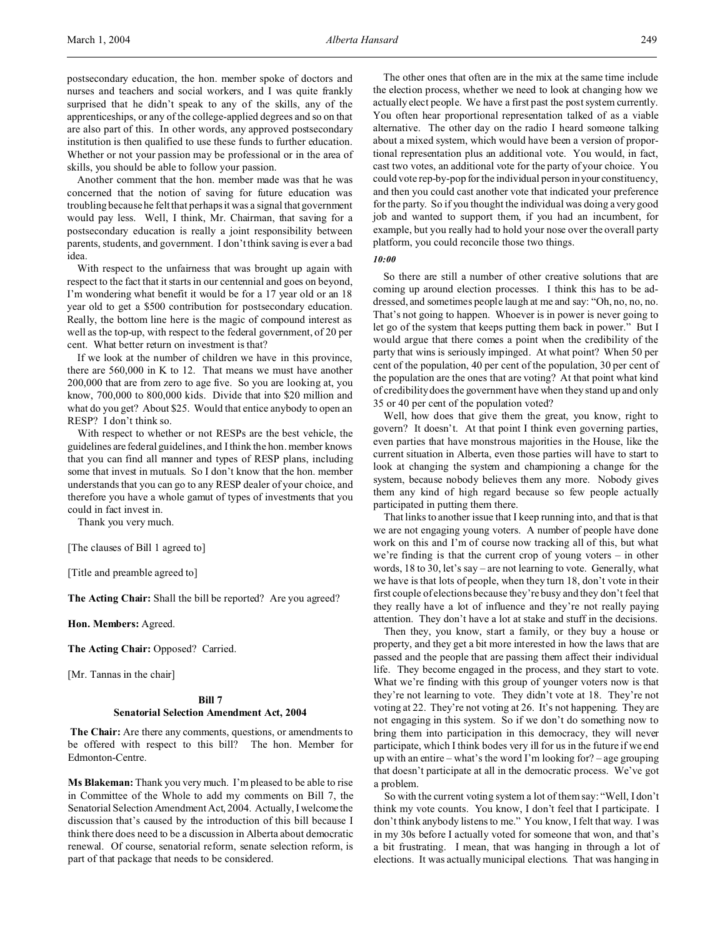postsecondary education, the hon. member spoke of doctors and nurses and teachers and social workers, and I was quite frankly surprised that he didn't speak to any of the skills, any of the apprenticeships, or any of the college-applied degrees and so on that are also part of this. In other words, any approved postsecondary institution is then qualified to use these funds to further education. Whether or not your passion may be professional or in the area of skills, you should be able to follow your passion.

Another comment that the hon. member made was that he was concerned that the notion of saving for future education was troubling because he felt that perhaps it was a signal that government would pay less. Well, I think, Mr. Chairman, that saving for a postsecondary education is really a joint responsibility between parents, students, and government. I don't think saving is ever a bad idea.

With respect to the unfairness that was brought up again with respect to the fact that it starts in our centennial and goes on beyond, I'm wondering what benefit it would be for a 17 year old or an 18 year old to get a \$500 contribution for postsecondary education. Really, the bottom line here is the magic of compound interest as well as the top-up, with respect to the federal government, of 20 per cent. What better return on investment is that?

If we look at the number of children we have in this province, there are 560,000 in K to 12. That means we must have another 200,000 that are from zero to age five. So you are looking at, you know, 700,000 to 800,000 kids. Divide that into \$20 million and what do you get? About \$25. Would that entice anybody to open an RESP? I don't think so.

With respect to whether or not RESPs are the best vehicle, the guidelines are federal guidelines, and I think the hon. member knows that you can find all manner and types of RESP plans, including some that invest in mutuals. So I don't know that the hon. member understands that you can go to any RESP dealer of your choice, and therefore you have a whole gamut of types of investments that you could in fact invest in.

Thank you very much.

[The clauses of Bill 1 agreed to]

[Title and preamble agreed to]

**The Acting Chair:** Shall the bill be reported? Are you agreed?

**Hon. Members:** Agreed.

**The Acting Chair:** Opposed? Carried.

[Mr. Tannas in the chair]

# **Bill 7 Senatorial Selection Amendment Act, 2004**

**The Chair:** Are there any comments, questions, or amendments to be offered with respect to this bill? The hon. Member for Edmonton-Centre.

**Ms Blakeman:** Thank you very much. I'm pleased to be able to rise in Committee of the Whole to add my comments on Bill 7, the Senatorial Selection Amendment Act, 2004. Actually, I welcome the discussion that's caused by the introduction of this bill because I think there does need to be a discussion in Alberta about democratic renewal. Of course, senatorial reform, senate selection reform, is part of that package that needs to be considered.

The other ones that often are in the mix at the same time include the election process, whether we need to look at changing how we actually elect people. We have a first past the post system currently. You often hear proportional representation talked of as a viable alternative. The other day on the radio I heard someone talking about a mixed system, which would have been a version of proportional representation plus an additional vote. You would, in fact, cast two votes, an additional vote for the party of your choice. You could vote rep-by-pop for the individual person in your constituency, and then you could cast another vote that indicated your preference for the party. So if you thought the individual was doing a very good job and wanted to support them, if you had an incumbent, for example, but you really had to hold your nose over the overall party platform, you could reconcile those two things.

*10:00*

So there are still a number of other creative solutions that are coming up around election processes. I think this has to be addressed, and sometimes people laugh at me and say: "Oh, no, no, no. That's not going to happen. Whoever is in power is never going to let go of the system that keeps putting them back in power." But I would argue that there comes a point when the credibility of the party that wins is seriously impinged. At what point? When 50 per cent of the population, 40 per cent of the population, 30 per cent of the population are the ones that are voting? At that point what kind of credibility does the government have when they stand up and only 35 or 40 per cent of the population voted?

Well, how does that give them the great, you know, right to govern? It doesn't. At that point I think even governing parties, even parties that have monstrous majorities in the House, like the current situation in Alberta, even those parties will have to start to look at changing the system and championing a change for the system, because nobody believes them any more. Nobody gives them any kind of high regard because so few people actually participated in putting them there.

That links to another issue that I keep running into, and that is that we are not engaging young voters. A number of people have done work on this and I'm of course now tracking all of this, but what we're finding is that the current crop of young voters – in other words, 18 to 30, let's say – are not learning to vote. Generally, what we have is that lots of people, when they turn 18, don't vote in their first couple of elections because they're busy and they don't feel that they really have a lot of influence and they're not really paying attention. They don't have a lot at stake and stuff in the decisions.

Then they, you know, start a family, or they buy a house or property, and they get a bit more interested in how the laws that are passed and the people that are passing them affect their individual life. They become engaged in the process, and they start to vote. What we're finding with this group of younger voters now is that they're not learning to vote. They didn't vote at 18. They're not voting at 22. They're not voting at 26. It's not happening. They are not engaging in this system. So if we don't do something now to bring them into participation in this democracy, they will never participate, which I think bodes very ill for us in the future if we end up with an entire – what's the word I'm looking for? – age grouping that doesn't participate at all in the democratic process. We've got a problem.

So with the current voting system a lot of them say: "Well, I don't think my vote counts. You know, I don't feel that I participate. I don't think anybody listens to me." You know, I felt that way. I was in my 30s before I actually voted for someone that won, and that's a bit frustrating. I mean, that was hanging in through a lot of elections. It was actually municipal elections. That was hanging in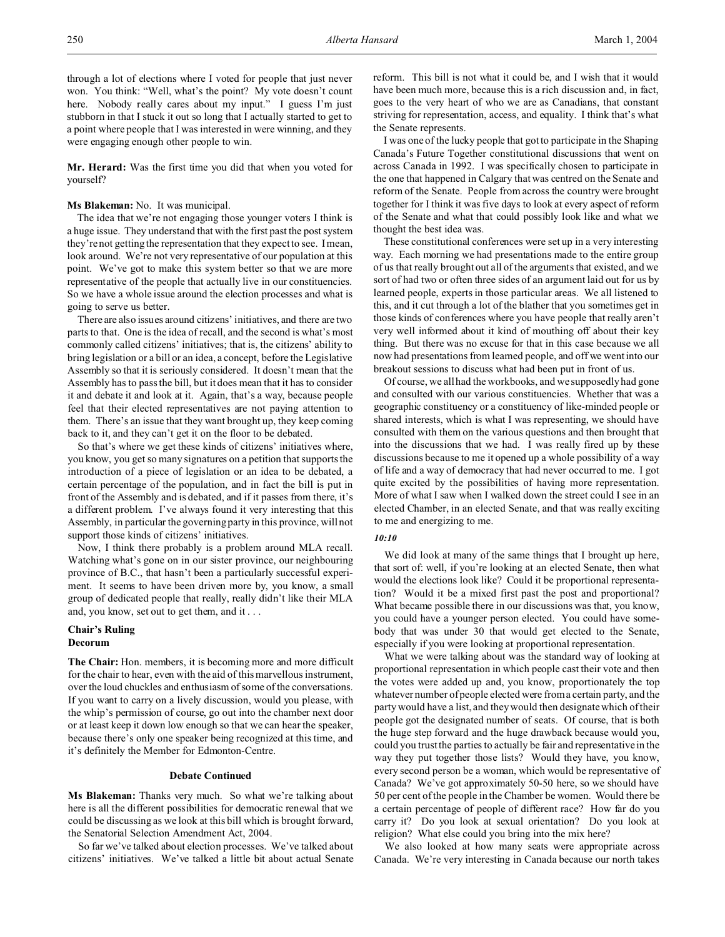through a lot of elections where I voted for people that just never won. You think: "Well, what's the point? My vote doesn't count here. Nobody really cares about my input." I guess I'm just stubborn in that I stuck it out so long that I actually started to get to a point where people that I was interested in were winning, and they were engaging enough other people to win.

**Mr. Herard:** Was the first time you did that when you voted for yourself?

### **Ms Blakeman:** No. It was municipal.

The idea that we're not engaging those younger voters I think is a huge issue. They understand that with the first past the post system they're not getting the representation that they expect to see. I mean, look around. We're not very representative of our population at this point. We've got to make this system better so that we are more representative of the people that actually live in our constituencies. So we have a whole issue around the election processes and what is going to serve us better.

There are also issues around citizens' initiatives, and there are two parts to that. One is the idea of recall, and the second is what's most commonly called citizens' initiatives; that is, the citizens' ability to bring legislation or a bill or an idea, a concept, before the Legislative Assembly so that it is seriously considered. It doesn't mean that the Assembly has to pass the bill, but it does mean that it has to consider it and debate it and look at it. Again, that's a way, because people feel that their elected representatives are not paying attention to them. There's an issue that they want brought up, they keep coming back to it, and they can't get it on the floor to be debated.

So that's where we get these kinds of citizens' initiatives where, you know, you get so many signatures on a petition that supports the introduction of a piece of legislation or an idea to be debated, a certain percentage of the population, and in fact the bill is put in front of the Assembly and is debated, and if it passes from there, it's a different problem. I've always found it very interesting that this Assembly, in particular the governing party in this province, will not support those kinds of citizens' initiatives.

Now, I think there probably is a problem around MLA recall. Watching what's gone on in our sister province, our neighbouring province of B.C., that hasn't been a particularly successful experiment. It seems to have been driven more by, you know, a small group of dedicated people that really, really didn't like their MLA and, you know, set out to get them, and it . . .

## **Chair's Ruling Decorum**

**The Chair:** Hon. members, it is becoming more and more difficult for the chair to hear, even with the aid of this marvellous instrument, over the loud chuckles and enthusiasm of some of the conversations. If you want to carry on a lively discussion, would you please, with the whip's permission of course, go out into the chamber next door or at least keep it down low enough so that we can hear the speaker, because there's only one speaker being recognized at this time, and it's definitely the Member for Edmonton-Centre.

#### **Debate Continued**

**Ms Blakeman:** Thanks very much. So what we're talking about here is all the different possibilities for democratic renewal that we could be discussing as we look at this bill which is brought forward, the Senatorial Selection Amendment Act, 2004.

So far we've talked about election processes. We've talked about citizens' initiatives. We've talked a little bit about actual Senate reform. This bill is not what it could be, and I wish that it would have been much more, because this is a rich discussion and, in fact, goes to the very heart of who we are as Canadians, that constant striving for representation, access, and equality. I think that's what the Senate represents.

I was one of the lucky people that got to participate in the Shaping Canada's Future Together constitutional discussions that went on across Canada in 1992. I was specifically chosen to participate in the one that happened in Calgary that was centred on the Senate and reform of the Senate. People from across the country were brought together for I think it was five days to look at every aspect of reform of the Senate and what that could possibly look like and what we thought the best idea was.

These constitutional conferences were set up in a very interesting way. Each morning we had presentations made to the entire group of us that really brought out all of the arguments that existed, and we sort of had two or often three sides of an argument laid out for us by learned people, experts in those particular areas. We all listened to this, and it cut through a lot of the blather that you sometimes get in those kinds of conferences where you have people that really aren't very well informed about it kind of mouthing off about their key thing. But there was no excuse for that in this case because we all now had presentations from learned people, and off we went into our breakout sessions to discuss what had been put in front of us.

Of course, we all had the workbooks, and we supposedly had gone and consulted with our various constituencies. Whether that was a geographic constituency or a constituency of like-minded people or shared interests, which is what I was representing, we should have consulted with them on the various questions and then brought that into the discussions that we had. I was really fired up by these discussions because to me it opened up a whole possibility of a way of life and a way of democracy that had never occurred to me. I got quite excited by the possibilities of having more representation. More of what I saw when I walked down the street could I see in an elected Chamber, in an elected Senate, and that was really exciting to me and energizing to me.

# *10:10*

We did look at many of the same things that I brought up here, that sort of: well, if you're looking at an elected Senate, then what would the elections look like? Could it be proportional representation? Would it be a mixed first past the post and proportional? What became possible there in our discussions was that, you know, you could have a younger person elected. You could have somebody that was under 30 that would get elected to the Senate, especially if you were looking at proportional representation.

What we were talking about was the standard way of looking at proportional representation in which people cast their vote and then the votes were added up and, you know, proportionately the top whatever number of people elected were from a certain party, and the party would have a list, and they would then designate which of their people got the designated number of seats. Of course, that is both the huge step forward and the huge drawback because would you, could you trust the parties to actually be fair and representative in the way they put together those lists? Would they have, you know, every second person be a woman, which would be representative of Canada? We've got approximately 50-50 here, so we should have 50 per cent of the people in the Chamber be women. Would there be a certain percentage of people of different race? How far do you carry it? Do you look at sexual orientation? Do you look at religion? What else could you bring into the mix here?

We also looked at how many seats were appropriate across Canada. We're very interesting in Canada because our north takes